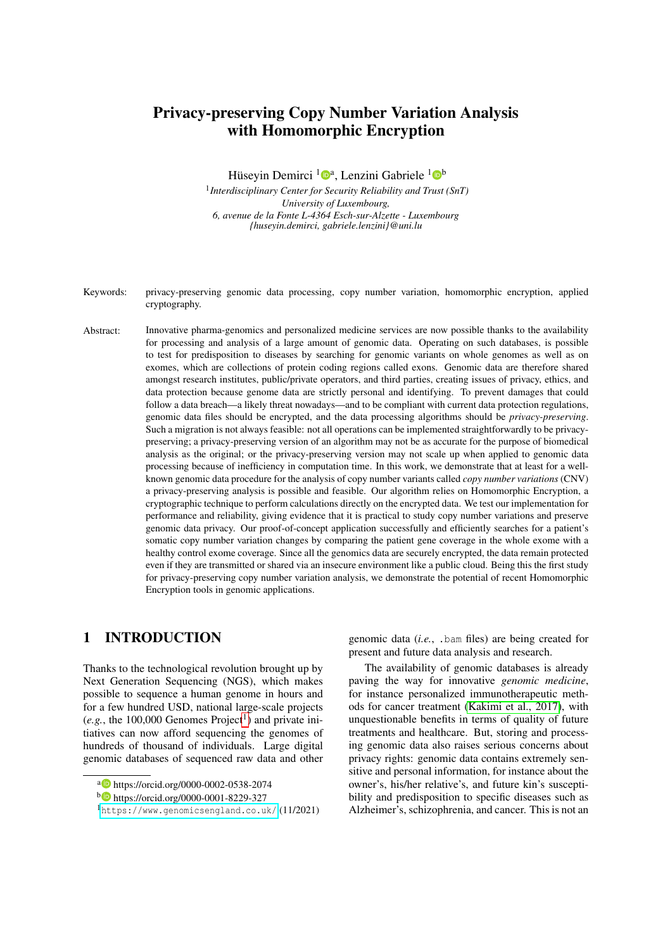# Privacy-preserving Copy Number Variation Analysis with Homomorphic Encryption

Hüseyin Demirci <sup>1</sup>D<sup>a</sup>, Lenzini Gabriele <sup>1</sup>D<sup>b</sup>

1 *Interdisciplinary Center for Security Reliability and Trust (SnT) University of Luxembourg, 6, avenue de la Fonte L-4364 Esch-sur-Alzette - Luxembourg {huseyin.demirci, gabriele.lenzini}@uni.lu*

- Keywords: privacy-preserving genomic data processing, copy number variation, homomorphic encryption, applied cryptography.
- Abstract: Innovative pharma-genomics and personalized medicine services are now possible thanks to the availability for processing and analysis of a large amount of genomic data. Operating on such databases, is possible to test for predisposition to diseases by searching for genomic variants on whole genomes as well as on exomes, which are collections of protein coding regions called exons. Genomic data are therefore shared amongst research institutes, public/private operators, and third parties, creating issues of privacy, ethics, and data protection because genome data are strictly personal and identifying. To prevent damages that could follow a data breach—a likely threat nowadays—and to be compliant with current data protection regulations, genomic data files should be encrypted, and the data processing algorithms should be *privacy-preserving*. Such a migration is not always feasible: not all operations can be implemented straightforwardly to be privacypreserving; a privacy-preserving version of an algorithm may not be as accurate for the purpose of biomedical analysis as the original; or the privacy-preserving version may not scale up when applied to genomic data processing because of inefficiency in computation time. In this work, we demonstrate that at least for a wellknown genomic data procedure for the analysis of copy number variants called *copy number variations* (CNV) a privacy-preserving analysis is possible and feasible. Our algorithm relies on Homomorphic Encryption, a cryptographic technique to perform calculations directly on the encrypted data. We test our implementation for performance and reliability, giving evidence that it is practical to study copy number variations and preserve genomic data privacy. Our proof-of-concept application successfully and efficiently searches for a patient's somatic copy number variation changes by comparing the patient gene coverage in the whole exome with a healthy control exome coverage. Since all the genomics data are securely encrypted, the data remain protected even if they are transmitted or shared via an insecure environment like a public cloud. Being this the first study for privacy-preserving copy number variation analysis, we demonstrate the potential of recent Homomorphic Encryption tools in genomic applications.

## 1 INTRODUCTION

Thanks to the technological revolution brought up by Next Generation Sequencing (NGS), which makes possible to sequence a human genome in hours and for a few hundred USD, national large-scale projects  $(e.g., the 100,000 Genomes Project<sup>1</sup>)$  $(e.g., the 100,000 Genomes Project<sup>1</sup>)$  $(e.g., the 100,000 Genomes Project<sup>1</sup>)$  and private initiatives can now afford sequencing the genomes of hundreds of thousand of individuals. Large digital genomic databases of sequenced raw data and other

genomic data (*i.e.*, .bam files) are being created for present and future data analysis and research.

The availability of genomic databases is already paving the way for innovative *genomic medicine*, for instance personalized immunotherapeutic methods for cancer treatment [\(Kakimi et al., 2017\)](#page-10-0), with unquestionable benefits in terms of quality of future treatments and healthcare. But, storing and processing genomic data also raises serious concerns about privacy rights: genomic data contains extremely sensitive and personal information, for instance about the owner's, his/her relative's, and future kin's susceptibility and predisposition to specific diseases such as Alzheimer's, schizophrenia, and cancer. This is not an

<sup>a</sup> https://orcid.org/0000-0002-0538-2074

<sup>b</sup> https://orcid.org/0000-0001-8229-327

<span id="page-0-0"></span><sup>1</sup><https://www.genomicsengland.co.uk/> (11/2021)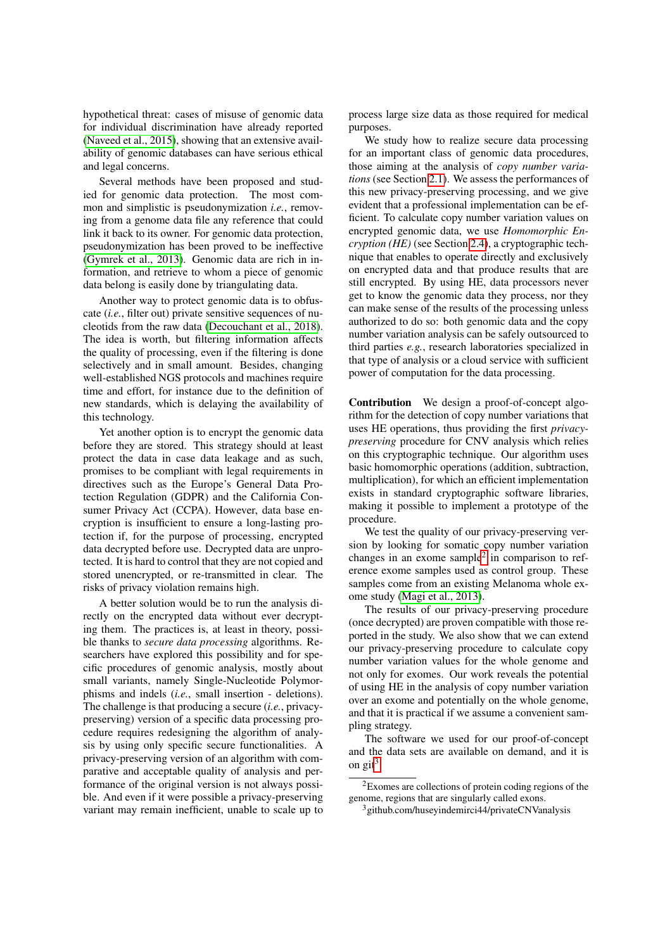hypothetical threat: cases of misuse of genomic data for individual discrimination have already reported [\(Naveed et al., 2015\)](#page-10-1), showing that an extensive availability of genomic databases can have serious ethical and legal concerns.

Several methods have been proposed and studied for genomic data protection. The most common and simplistic is pseudonymization *i.e.*, removing from a genome data file any reference that could link it back to its owner. For genomic data protection, pseudonymization has been proved to be ineffective [\(Gymrek et al., 2013\)](#page-10-2). Genomic data are rich in information, and retrieve to whom a piece of genomic data belong is easily done by triangulating data.

Another way to protect genomic data is to obfuscate (*i.e.*, filter out) private sensitive sequences of nucleotids from the raw data [\(Decouchant et al., 2018\)](#page-10-3). The idea is worth, but filtering information affects the quality of processing, even if the filtering is done selectively and in small amount. Besides, changing well-established NGS protocols and machines require time and effort, for instance due to the definition of new standards, which is delaying the availability of this technology.

Yet another option is to encrypt the genomic data before they are stored. This strategy should at least protect the data in case data leakage and as such, promises to be compliant with legal requirements in directives such as the Europe's General Data Protection Regulation (GDPR) and the California Consumer Privacy Act (CCPA). However, data base encryption is insufficient to ensure a long-lasting protection if, for the purpose of processing, encrypted data decrypted before use. Decrypted data are unprotected. It is hard to control that they are not copied and stored unencrypted, or re-transmitted in clear. The risks of privacy violation remains high.

A better solution would be to run the analysis directly on the encrypted data without ever decrypting them. The practices is, at least in theory, possible thanks to *secure data processing* algorithms. Researchers have explored this possibility and for specific procedures of genomic analysis, mostly about small variants, namely Single-Nucleotide Polymorphisms and indels (*i.e.*, small insertion - deletions). The challenge is that producing a secure (*i.e.*, privacypreserving) version of a specific data processing procedure requires redesigning the algorithm of analysis by using only specific secure functionalities. A privacy-preserving version of an algorithm with comparative and acceptable quality of analysis and performance of the original version is not always possible. And even if it were possible a privacy-preserving variant may remain inefficient, unable to scale up to

process large size data as those required for medical purposes.

We study how to realize secure data processing for an important class of genomic data procedures, those aiming at the analysis of *copy number variations* (see Section [2.1\)](#page-2-0). We assess the performances of this new privacy-preserving processing, and we give evident that a professional implementation can be efficient. To calculate copy number variation values on encrypted genomic data, we use *Homomorphic Encryption (HE)* (see Section [2.4\)](#page-3-0), a cryptographic technique that enables to operate directly and exclusively on encrypted data and that produce results that are still encrypted. By using HE, data processors never get to know the genomic data they process, nor they can make sense of the results of the processing unless authorized to do so: both genomic data and the copy number variation analysis can be safely outsourced to third parties *e.g.*, research laboratories specialized in that type of analysis or a cloud service with sufficient power of computation for the data processing.

Contribution We design a proof-of-concept algorithm for the detection of copy number variations that uses HE operations, thus providing the first *privacypreserving* procedure for CNV analysis which relies on this cryptographic technique. Our algorithm uses basic homomorphic operations (addition, subtraction, multiplication), for which an efficient implementation exists in standard cryptographic software libraries, making it possible to implement a prototype of the procedure.

We test the quality of our privacy-preserving version by looking for somatic copy number variation changes in an exome sample<sup>[2](#page-1-0)</sup> in comparison to reference exome samples used as control group. These samples come from an existing Melanoma whole exome study [\(Magi et al., 2013\)](#page-10-4).

The results of our privacy-preserving procedure (once decrypted) are proven compatible with those reported in the study. We also show that we can extend our privacy-preserving procedure to calculate copy number variation values for the whole genome and not only for exomes. Our work reveals the potential of using HE in the analysis of copy number variation over an exome and potentially on the whole genome, and that it is practical if we assume a convenient sampling strategy.

The software we used for our proof-of-concept and the data sets are available on demand, and it is on git<sup>[3](#page-1-1)</sup>.

<span id="page-1-0"></span> ${}^{2}$ Exomes are collections of protein coding regions of the genome, regions that are singularly called exons.

<span id="page-1-1"></span><sup>&</sup>lt;sup>3</sup> github.com/huseyindemirci44/privateCNVanalysis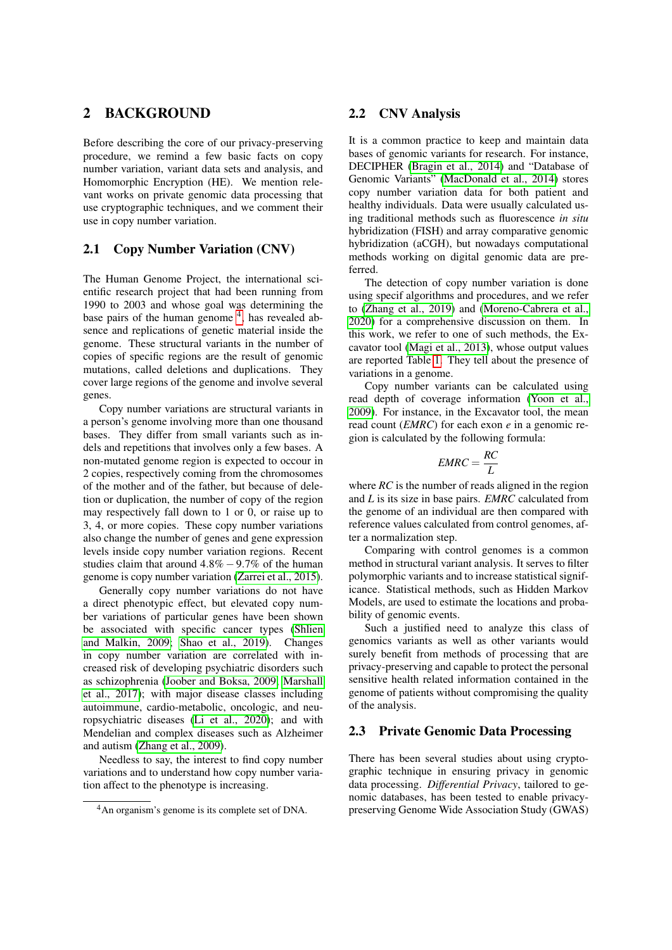### <span id="page-2-2"></span>2 BACKGROUND

Before describing the core of our privacy-preserving procedure, we remind a few basic facts on copy number variation, variant data sets and analysis, and Homomorphic Encryption (HE). We mention relevant works on private genomic data processing that use cryptographic techniques, and we comment their use in copy number variation.

#### <span id="page-2-0"></span>2.1 Copy Number Variation (CNV)

The Human Genome Project, the international scientific research project that had been running from 1990 to 2003 and whose goal was determining the base pairs of the human genome <sup>[4](#page-2-1)</sup>, has revealed absence and replications of genetic material inside the genome. These structural variants in the number of copies of specific regions are the result of genomic mutations, called deletions and duplications. They cover large regions of the genome and involve several genes.

Copy number variations are structural variants in a person's genome involving more than one thousand bases. They differ from small variants such as indels and repetitions that involves only a few bases. A non-mutated genome region is expected to occour in 2 copies, respectively coming from the chromosomes of the mother and of the father, but because of deletion or duplication, the number of copy of the region may respectively fall down to 1 or 0, or raise up to 3, 4, or more copies. These copy number variations also change the number of genes and gene expression levels inside copy number variation regions. Recent studies claim that around  $4.8\% - 9.7\%$  of the human genome is copy number variation [\(Zarrei et al., 2015\)](#page-10-5).

Generally copy number variations do not have a direct phenotypic effect, but elevated copy number variations of particular genes have been shown be associated with specific cancer types [\(Shlien](#page-10-6) [and Malkin, 2009;](#page-10-6) [Shao et al., 2019\)](#page-10-7). Changes in copy number variation are correlated with increased risk of developing psychiatric disorders such as schizophrenia [\(Joober and Boksa, 2009;](#page-10-8) [Marshall](#page-10-9) [et al., 2017\)](#page-10-9); with major disease classes including autoimmune, cardio-metabolic, oncologic, and neuropsychiatric diseases [\(Li et al., 2020\)](#page-10-10); and with Mendelian and complex diseases such as Alzheimer and autism [\(Zhang et al., 2009\)](#page-10-11).

Needless to say, the interest to find copy number variations and to understand how copy number variation affect to the phenotype is increasing.

#### 2.2 CNV Analysis

It is a common practice to keep and maintain data bases of genomic variants for research. For instance, DECIPHER [\(Bragin et al., 2014\)](#page-10-12) and "Database of Genomic Variants" [\(MacDonald et al., 2014\)](#page-10-13) stores copy number variation data for both patient and healthy individuals. Data were usually calculated using traditional methods such as fluorescence *in situ* hybridization (FISH) and array comparative genomic hybridization (aCGH), but nowadays computational methods working on digital genomic data are preferred.

The detection of copy number variation is done using specif algorithms and procedures, and we refer to [\(Zhang et al., 2019\)](#page-10-14) and [\(Moreno-Cabrera et al.,](#page-10-15) [2020\)](#page-10-15) for a comprehensive discussion on them. In this work, we refer to one of such methods, the Excavator tool [\(Magi et al., 2013\)](#page-10-4), whose output values are reported Table [1.](#page-3-1) They tell about the presence of variations in a genome.

Copy number variants can be calculated using read depth of coverage information [\(Yoon et al.,](#page-10-16) [2009\)](#page-10-16). For instance, in the Excavator tool, the mean read count (*EMRC*) for each exon *e* in a genomic region is calculated by the following formula:

$$
EMRC = \frac{RC}{L}
$$

where *RC* is the number of reads aligned in the region and *L* is its size in base pairs. *EMRC* calculated from the genome of an individual are then compared with reference values calculated from control genomes, after a normalization step.

Comparing with control genomes is a common method in structural variant analysis. It serves to filter polymorphic variants and to increase statistical significance. Statistical methods, such as Hidden Markov Models, are used to estimate the locations and probability of genomic events.

Such a justified need to analyze this class of genomics variants as well as other variants would surely benefit from methods of processing that are privacy-preserving and capable to protect the personal sensitive health related information contained in the genome of patients without compromising the quality of the analysis.

#### 2.3 Private Genomic Data Processing

There has been several studies about using cryptographic technique in ensuring privacy in genomic data processing. *Differential Privacy*, tailored to genomic databases, has been tested to enable privacypreserving Genome Wide Association Study (GWAS)

<span id="page-2-1"></span><sup>&</sup>lt;sup>4</sup>An organism's genome is its complete set of DNA.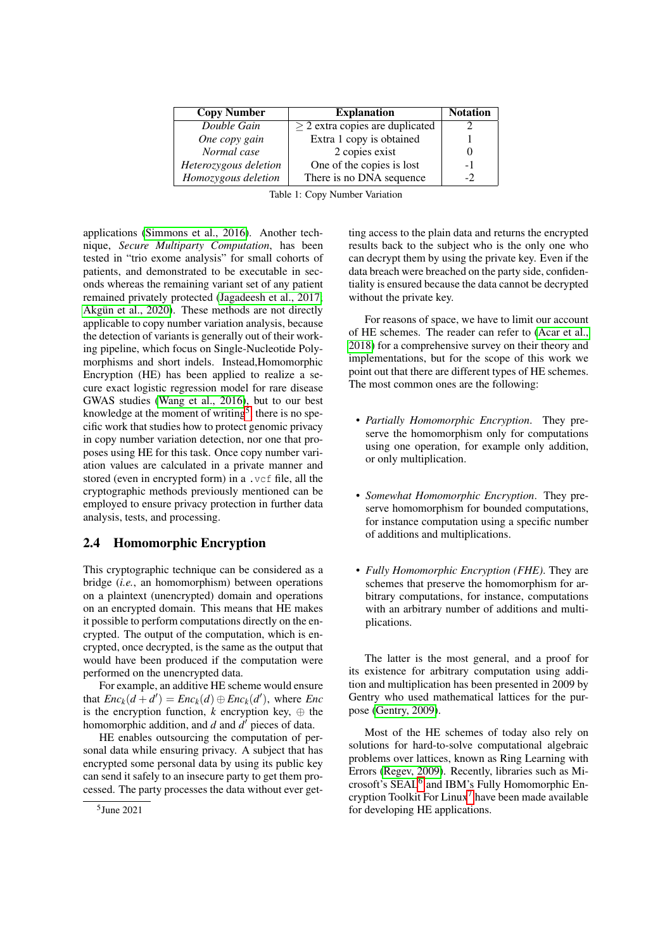<span id="page-3-1"></span>

| <b>Copy Number</b>    | <b>Explanation</b>                   | <b>Notation</b> |
|-----------------------|--------------------------------------|-----------------|
| Double Gain           | $\geq$ 2 extra copies are duplicated |                 |
| One copy gain         | Extra 1 copy is obtained             |                 |
| Normal case           | 2 copies exist                       |                 |
| Heterozygous deletion | One of the copies is lost            | -1              |
| Homozygous deletion   | There is no DNA sequence             | $-2$            |

Table 1: Copy Number Variation

applications [\(Simmons et al., 2016\)](#page-10-17). Another technique, *Secure Multiparty Computation*, has been tested in "trio exome analysis" for small cohorts of patients, and demonstrated to be executable in seconds whereas the remaining variant set of any patient remained privately protected [\(Jagadeesh et al., 2017;](#page-10-18) [Akgün et al., 2020\)](#page-9-0). These methods are not directly applicable to copy number variation analysis, because the detection of variants is generally out of their working pipeline, which focus on Single-Nucleotide Polymorphisms and short indels. Instead,Homomorphic Encryption (HE) has been applied to realize a secure exact logistic regression model for rare disease GWAS studies [\(Wang et al., 2016\)](#page-10-19), but to our best knowledge at the moment of writing<sup>[5](#page-3-2)</sup>, there is no specific work that studies how to protect genomic privacy in copy number variation detection, nor one that proposes using HE for this task. Once copy number variation values are calculated in a private manner and stored (even in encrypted form) in a .vcf file, all the cryptographic methods previously mentioned can be employed to ensure privacy protection in further data analysis, tests, and processing.

#### <span id="page-3-0"></span>2.4 Homomorphic Encryption

This cryptographic technique can be considered as a bridge (*i.e.*, an homomorphism) between operations on a plaintext (unencrypted) domain and operations on an encrypted domain. This means that HE makes it possible to perform computations directly on the encrypted. The output of the computation, which is encrypted, once decrypted, is the same as the output that would have been produced if the computation were performed on the unencrypted data.

For example, an additive HE scheme would ensure that  $Enc_k(d + d') = Enc_k(d) \oplus Enc_k(d')$ , where  $Enc_k$ is the encryption function,  $k$  encryption key,  $\oplus$  the homomorphic addition, and *d* and *d'* pieces of data.

HE enables outsourcing the computation of personal data while ensuring privacy. A subject that has encrypted some personal data by using its public key can send it safely to an insecure party to get them processed. The party processes the data without ever getting access to the plain data and returns the encrypted results back to the subject who is the only one who can decrypt them by using the private key. Even if the data breach were breached on the party side, confidentiality is ensured because the data cannot be decrypted without the private key.

For reasons of space, we have to limit our account of HE schemes. The reader can refer to [\(Acar et al.,](#page-9-1) [2018\)](#page-9-1) for a comprehensive survey on their theory and implementations, but for the scope of this work we point out that there are different types of HE schemes. The most common ones are the following:

- *Partially Homomorphic Encryption*. They preserve the homomorphism only for computations using one operation, for example only addition, or only multiplication.
- *Somewhat Homomorphic Encryption*. They preserve homomorphism for bounded computations, for instance computation using a specific number of additions and multiplications.
- *Fully Homomorphic Encryption (FHE)*. They are schemes that preserve the homomorphism for arbitrary computations, for instance, computations with an arbitrary number of additions and multiplications.

The latter is the most general, and a proof for its existence for arbitrary computation using addition and multiplication has been presented in 2009 by Gentry who used mathematical lattices for the purpose [\(Gentry, 2009\)](#page-10-20).

Most of the HE schemes of today also rely on solutions for hard-to-solve computational algebraic problems over lattices, known as Ring Learning with Errors [\(Regev, 2009\)](#page-10-21). Recently, libraries such as Mi-crosoft's SEAL<sup>[6](#page-4-0)</sup> and IBM's Fully Homomorphic Encryption Toolkit For Linux[7](#page-4-1) have been made available for developing HE applications.

<span id="page-3-2"></span><sup>5</sup> June 2021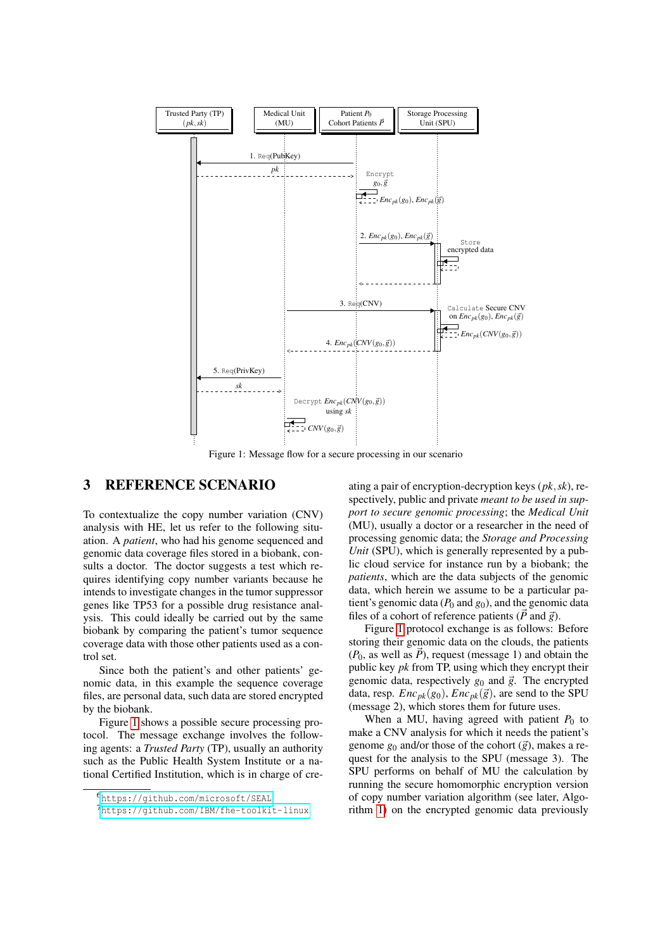<span id="page-4-2"></span>

Figure 1: Message flow for a secure processing in our scenario

### 3 REFERENCE SCENARIO

To contextualize the copy number variation (CNV) analysis with HE, let us refer to the following situation. A *patient*, who had his genome sequenced and genomic data coverage files stored in a biobank, consults a doctor. The doctor suggests a test which requires identifying copy number variants because he intends to investigate changes in the tumor suppressor genes like TP53 for a possible drug resistance analysis. This could ideally be carried out by the same biobank by comparing the patient's tumor sequence coverage data with those other patients used as a control set.

Since both the patient's and other patients' genomic data, in this example the sequence coverage files, are personal data, such data are stored encrypted by the biobank.

Figure [1](#page-4-2) shows a possible secure processing protocol. The message exchange involves the following agents: a *Trusted Party* (TP), usually an authority such as the Public Health System Institute or a national Certified Institution, which is in charge of cre-

ating a pair of encryption-decryption keys (*pk*,*sk*), respectively, public and private *meant to be used in support to secure genomic processing*; the *Medical Unit* (MU), usually a doctor or a researcher in the need of processing genomic data; the *Storage and Processing Unit* (SPU), which is generally represented by a public cloud service for instance run by a biobank; the *patients*, which are the data subjects of the genomic data, which herein we assume to be a particular patient's genomic data  $(P_0 \text{ and } g_0)$ , and the genomic data files of a cohort of reference patients ( $\vec{P}$  and  $\vec{g}$ ).

Figure [1](#page-4-2) protocol exchange is as follows: Before storing their genomic data on the clouds, the patients  $(P_0$ , as well as  $\vec{P}$ ), request (message 1) and obtain the public key *pk* from TP, using which they encrypt their genomic data, respectively  $g_0$  and  $\vec{g}$ . The encrypted data, resp.  $Enc_{pk}(g_0)$ ,  $Enc_{pk}(\vec{g})$ , are send to the SPU (message 2), which stores them for future uses.

When a MU, having agreed with patient  $P_0$  to make a CNV analysis for which it needs the patient's genome  $g_0$  and/or those of the cohort  $(\vec{g})$ , makes a request for the analysis to the SPU (message 3). The SPU performs on behalf of MU the calculation by running the secure homomorphic encryption version of copy number variation algorithm (see later, Algorithm [1\)](#page-5-0) on the encrypted genomic data previously

<span id="page-4-0"></span><sup>6</sup><https://github.com/microsoft/SEAL>

<span id="page-4-1"></span><sup>7</sup><https://github.com/IBM/fhe-toolkit-linux>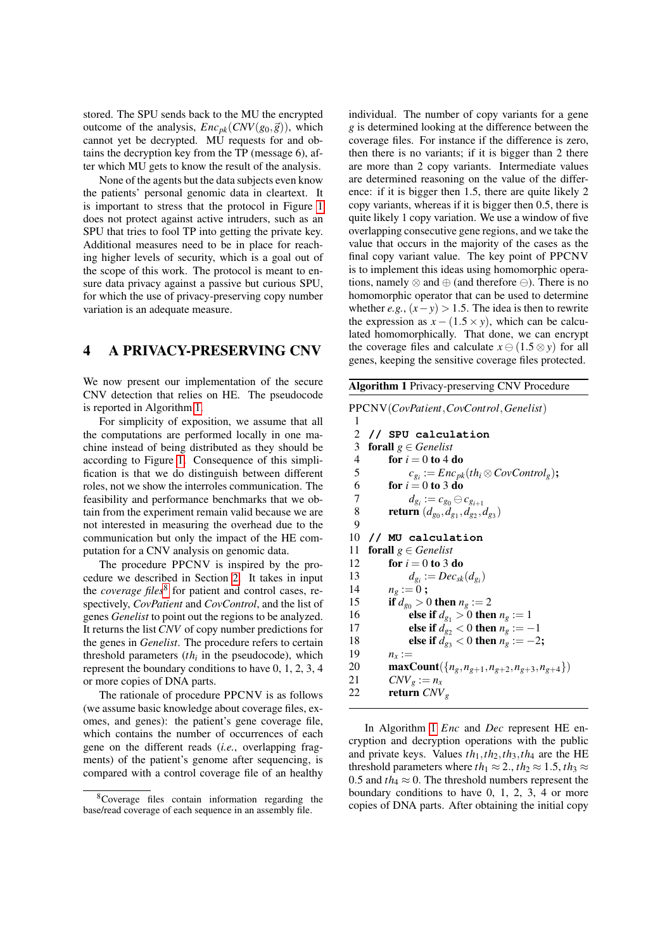stored. The SPU sends back to the MU the encrypted outcome of the analysis,  $Enc_{pk}(CNV(g_0, \vec{g}))$ , which cannot yet be decrypted. MU requests for and obtains the decryption key from the TP (message 6), after which MU gets to know the result of the analysis.

None of the agents but the data subjects even know the patients' personal genomic data in cleartext. It is important to stress that the protocol in Figure [1](#page-4-2) does not protect against active intruders, such as an SPU that tries to fool TP into getting the private key. Additional measures need to be in place for reaching higher levels of security, which is a goal out of the scope of this work. The protocol is meant to ensure data privacy against a passive but curious SPU, for which the use of privacy-preserving copy number variation is an adequate measure.

### 4 A PRIVACY-PRESERVING CNV

We now present our implementation of the secure CNV detection that relies on HE. The pseudocode is reported in Algorithm [1.](#page-5-0)

For simplicity of exposition, we assume that all the computations are performed locally in one machine instead of being distributed as they should be according to Figure [1.](#page-4-2) Consequence of this simplification is that we do distinguish between different roles, not we show the interroles communication. The feasibility and performance benchmarks that we obtain from the experiment remain valid because we are not interested in measuring the overhead due to the communication but only the impact of the HE computation for a CNV analysis on genomic data.

The procedure PPCNV is inspired by the procedure we described in Section [2.](#page-2-2) It takes in input the *coverage files*<sup>[8](#page-5-1)</sup> for patient and control cases, respectively, *CovPatient* and *CovControl*, and the list of genes *Genelist* to point out the regions to be analyzed. It returns the list *CNV* of copy number predictions for the genes in *Genelist*. The procedure refers to certain threshold parameters  $(th<sub>i</sub>$  in the pseudocode), which represent the boundary conditions to have 0, 1, 2, 3, 4 or more copies of DNA parts.

The rationale of procedure PPCNV is as follows (we assume basic knowledge about coverage files, exomes, and genes): the patient's gene coverage file, which contains the number of occurrences of each gene on the different reads (*i.e.*, overlapping fragments) of the patient's genome after sequencing, is compared with a control coverage file of an healthy individual. The number of copy variants for a gene *g* is determined looking at the difference between the coverage files. For instance if the difference is zero, then there is no variants; if it is bigger than 2 there are more than 2 copy variants. Intermediate values are determined reasoning on the value of the difference: if it is bigger then 1.5, there are quite likely 2 copy variants, whereas if it is bigger then 0.5, there is quite likely 1 copy variation. We use a window of five overlapping consecutive gene regions, and we take the value that occurs in the majority of the cases as the final copy variant value. The key point of PPCNV is to implement this ideas using homomorphic operations, namely  $\otimes$  and  $\oplus$  (and therefore  $\ominus$ ). There is no homomorphic operator that can be used to determine whether *e.g.*,  $(x - y) > 1.5$ . The idea is then to rewrite the expression as  $x - (1.5 \times y)$ , which can be calculated homomorphically. That done, we can encrypt the coverage files and calculate  $x \ominus (1.5 \otimes y)$  for all genes, keeping the sensitive coverage files protected.

<span id="page-5-0"></span>

| <b>Algorithm 1 Privacy-preserving CNV Procedure</b> |  |  |  |
|-----------------------------------------------------|--|--|--|
|                                                     |  |  |  |

PPCNV(*CovPatient*,*CovControl*,*Genelist*)

1 **// SPU calculation** forall *g* ∈ *Genelist* **for**  $i = 0$  to 4 do  $c_{g_i} := Enc_{pk}(th_i \otimes CovControl_g);$ 6 for  $i = 0$  to 3 do  $d_{g_i} := c_{g_0} \ominus c_{g_{i+1}}$ **return** (*d*<sub>*g*0</sub></sub>, *d*<sub>*g*1</sub></sub>, *d*<sub>*g*<sub>2</sub></sub>, *d*<sub>*g*3</sub></sub>)  $\overline{Q}$  **// MU calculation forall**  $g \in$  *Genelist* **for**  $i = 0$  to 3 do  $d_{g_i} := Dec_{sk}(d_{g_i})$  $n_g := 0$ ;<br>15 if  $d_{gs} > 0$ 15 if  $d_{g_0} > 0$  then  $n_g := 2$ <br>16 else if  $d_g > 0$  then 16 else if  $d_{g_1} > 0$  then  $n_g := 1$ <br>17 else if  $d_{g_2} < 0$  then  $n_g := -1$ **else if**  $d_{g_2} < 0$  then  $n_g := -1$ <br>18 **else if**  $d_{g_2} < 0$  then  $n_g := -2$ **else if**  $d_{g_3} < 0$  then  $n_g := -2$ ;<br>19  $n_g :=$  $n_x :=$ **maxCount**({ $n_g, n_{g+1}, n_{g+2}, n_{g+3}, n_{g+4}$ })  $CNV_g := n_x$ return *CNV<sup>g</sup>*

In Algorithm [1](#page-5-0) *Enc* and *Dec* represent HE encryption and decryption operations with the public and private keys. Values  $th_1, th_2, th_3, th_4$  are the HE threshold parameters where  $th_1 \approx 2$ .,  $th_2 \approx 1.5$ ,  $th_3 \approx$ 0.5 and  $th_4 \approx 0$ . The threshold numbers represent the boundary conditions to have 0, 1, 2, 3, 4 or more copies of DNA parts. After obtaining the initial copy

<span id="page-5-1"></span><sup>8</sup>Coverage files contain information regarding the base/read coverage of each sequence in an assembly file.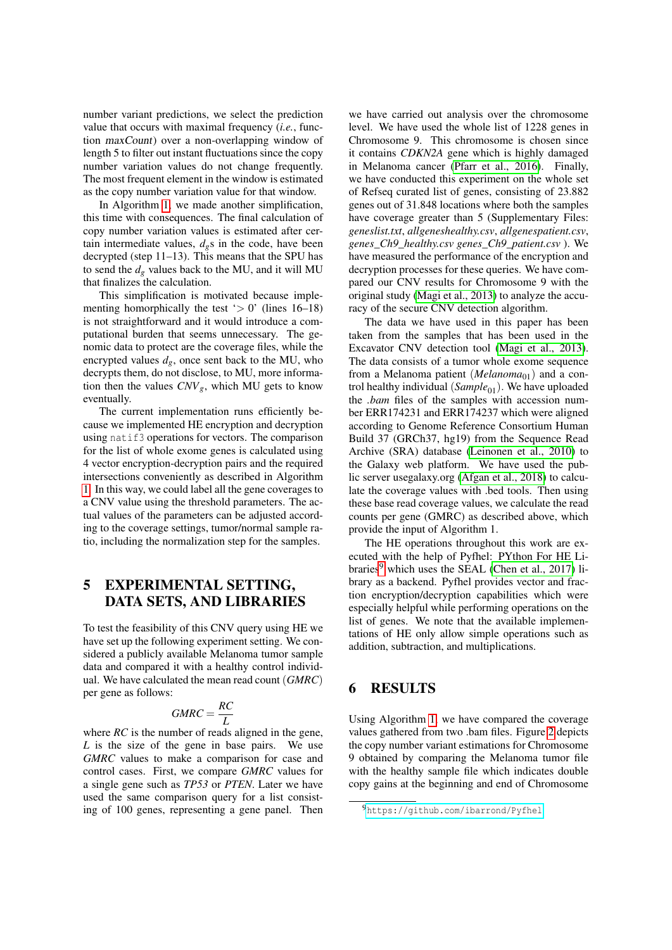number variant predictions, we select the prediction value that occurs with maximal frequency (*i.e.*, function maxCount) over a non-overlapping window of length 5 to filter out instant fluctuations since the copy number variation values do not change frequently. The most frequent element in the window is estimated as the copy number variation value for that window.

In Algorithm [1,](#page-5-0) we made another simplification, this time with consequences. The final calculation of copy number variation values is estimated after certain intermediate values,  $d_{\varrho}$ s in the code, have been decrypted (step 11–13). This means that the SPU has to send the  $d_g$  values back to the MU, and it will MU that finalizes the calculation.

This simplification is motivated because implementing homorphically the test ' $> 0$ ' (lines 16–18) is not straightforward and it would introduce a computational burden that seems unnecessary. The genomic data to protect are the coverage files, while the encrypted values  $d_g$ , once sent back to the MU, who decrypts them, do not disclose, to MU, more information then the values  $CNV_g$ , which MU gets to know eventually.

The current implementation runs efficiently because we implemented HE encryption and decryption using natif3 operations for vectors. The comparison for the list of whole exome genes is calculated using 4 vector encryption-decryption pairs and the required intersections conveniently as described in Algorithm [1.](#page-5-0) In this way, we could label all the gene coverages to a CNV value using the threshold parameters. The actual values of the parameters can be adjusted according to the coverage settings, tumor/normal sample ratio, including the normalization step for the samples.

## 5 EXPERIMENTAL SETTING, DATA SETS, AND LIBRARIES

To test the feasibility of this CNV query using HE we have set up the following experiment setting. We considered a publicly available Melanoma tumor sample data and compared it with a healthy control individual. We have calculated the mean read count (*GMRC*) per gene as follows:

$$
GMRC = \frac{RC}{L}
$$

where *RC* is the number of reads aligned in the gene, *L* is the size of the gene in base pairs. We use *GMRC* values to make a comparison for case and control cases. First, we compare *GMRC* values for a single gene such as *TP53* or *PTEN*. Later we have used the same comparison query for a list consisting of 100 genes, representing a gene panel. Then

we have carried out analysis over the chromosome level. We have used the whole list of 1228 genes in Chromosome 9. This chromosome is chosen since it contains *CDKN2A* gene which is highly damaged in Melanoma cancer [\(Pfarr et al., 2016\)](#page-10-22). Finally, we have conducted this experiment on the whole set of Refseq curated list of genes, consisting of 23.882 genes out of 31.848 locations where both the samples have coverage greater than 5 (Supplementary Files: *geneslist.txt*, *allgeneshealthy.csv*, *allgenespatient.csv*, *genes\_Ch9\_healthy.csv genes\_Ch9\_patient.csv* ). We have measured the performance of the encryption and decryption processes for these queries. We have compared our CNV results for Chromosome 9 with the original study [\(Magi et al., 2013\)](#page-10-4) to analyze the accuracy of the secure CNV detection algorithm.

The data we have used in this paper has been taken from the samples that has been used in the Excavator CNV detection tool [\(Magi et al., 2013\)](#page-10-4). The data consists of a tumor whole exome sequence from a Melanoma patient (*Melanoma*<sub>01</sub>) and a control healthy individual (*Sample*<sub>01</sub>). We have uploaded the *.bam* files of the samples with accession number ERR174231 and ERR174237 which were aligned according to Genome Reference Consortium Human Build 37 (GRCh37, hg19) from the Sequence Read Archive (SRA) database [\(Leinonen et al., 2010\)](#page-10-23) to the Galaxy web platform. We have used the public server usegalaxy.org [\(Afgan et al., 2018\)](#page-9-2) to calculate the coverage values with .bed tools. Then using these base read coverage values, we calculate the read counts per gene (GMRC) as described above, which provide the input of Algorithm 1.

The HE operations throughout this work are executed with the help of Pyfhel: PYthon For HE Libraries $9$  which uses the SEAL [\(Chen et al., 2017\)](#page-10-24) library as a backend. Pyfhel provides vector and fraction encryption/decryption capabilities which were especially helpful while performing operations on the list of genes. We note that the available implementations of HE only allow simple operations such as addition, subtraction, and multiplications.

### 6 RESULTS

Using Algorithm [1,](#page-5-0) we have compared the coverage values gathered from two .bam files. Figure [2](#page-7-0) depicts the copy number variant estimations for Chromosome 9 obtained by comparing the Melanoma tumor file with the healthy sample file which indicates double copy gains at the beginning and end of Chromosome

<span id="page-6-0"></span><sup>9</sup><https://github.com/ibarrond/Pyfhel>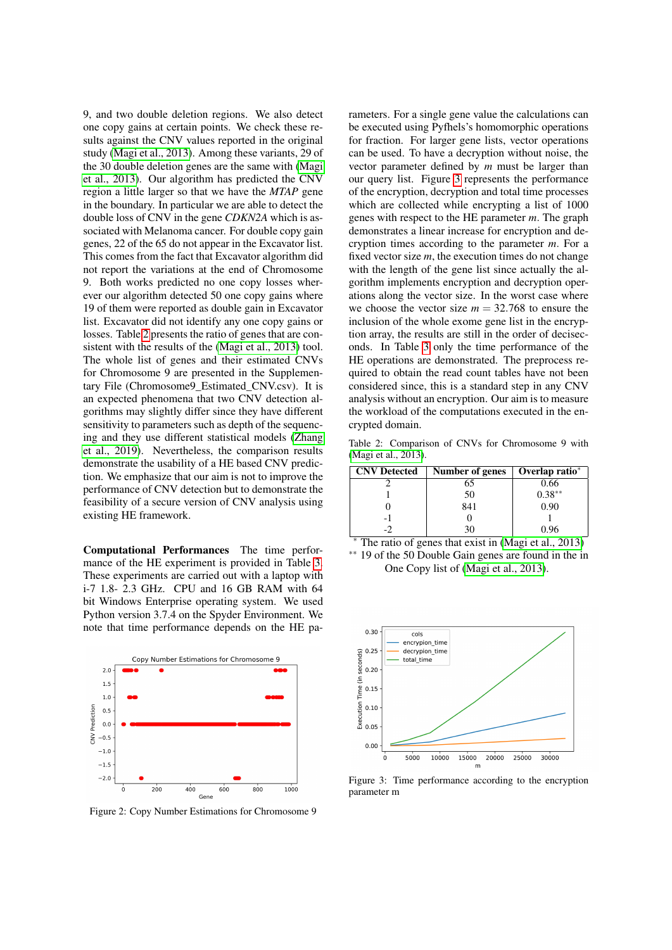9, and two double deletion regions. We also detect one copy gains at certain points. We check these results against the CNV values reported in the original study [\(Magi et al., 2013\)](#page-10-4). Among these variants, 29 of the 30 double deletion genes are the same with [\(Magi](#page-10-4) [et al., 2013\)](#page-10-4). Our algorithm has predicted the CNV region a little larger so that we have the *MTAP* gene in the boundary. In particular we are able to detect the double loss of CNV in the gene *CDKN2A* which is associated with Melanoma cancer. For double copy gain genes, 22 of the 65 do not appear in the Excavator list. This comes from the fact that Excavator algorithm did not report the variations at the end of Chromosome 9. Both works predicted no one copy losses wherever our algorithm detected 50 one copy gains where 19 of them were reported as double gain in Excavator list. Excavator did not identify any one copy gains or losses. Table [2](#page-7-1) presents the ratio of genes that are consistent with the results of the [\(Magi et al., 2013\)](#page-10-4) tool. The whole list of genes and their estimated CNVs for Chromosome 9 are presented in the Supplementary File (Chromosome9\_Estimated\_CNV.csv). It is an expected phenomena that two CNV detection algorithms may slightly differ since they have different sensitivity to parameters such as depth of the sequencing and they use different statistical models [\(Zhang](#page-10-14) [et al., 2019\)](#page-10-14). Nevertheless, the comparison results demonstrate the usability of a HE based CNV prediction. We emphasize that our aim is not to improve the performance of CNV detection but to demonstrate the feasibility of a secure version of CNV analysis using existing HE framework.

Computational Performances The time performance of the HE experiment is provided in Table [3.](#page-8-0) These experiments are carried out with a laptop with i-7 1.8- 2.3 GHz. CPU and 16 GB RAM with 64 bit Windows Enterprise operating system. We used Python version 3.7.4 on the Spyder Environment. We note that time performance depends on the HE pa-

<span id="page-7-0"></span>

Figure 2: Copy Number Estimations for Chromosome 9

rameters. For a single gene value the calculations can be executed using Pyfhels's homomorphic operations for fraction. For larger gene lists, vector operations can be used. To have a decryption without noise, the vector parameter defined by *m* must be larger than our query list. Figure [3](#page-7-2) represents the performance of the encryption, decryption and total time processes which are collected while encrypting a list of 1000 genes with respect to the HE parameter *m*. The graph demonstrates a linear increase for encryption and decryption times according to the parameter *m*. For a fixed vector size *m*, the execution times do not change with the length of the gene list since actually the algorithm implements encryption and decryption operations along the vector size. In the worst case where we choose the vector size  $m = 32.768$  to ensure the inclusion of the whole exome gene list in the encryption array, the results are still in the order of deciseconds. In Table [3](#page-8-0) only the time performance of the HE operations are demonstrated. The preprocess required to obtain the read count tables have not been considered since, this is a standard step in any CNV analysis without an encryption. Our aim is to measure the workload of the computations executed in the encrypted domain.

<span id="page-7-1"></span>Table 2: Comparison of CNVs for Chromosome 9 with [\(Magi et al., 2013\)](#page-10-4).

| <b>CNV</b> Detected | Number of genes | Overlap ratio* |
|---------------------|-----------------|----------------|
|                     | 65              | 0.66           |
|                     | 50              | $0.38**$       |
|                     | 841             | 0.90           |
| - 1                 |                 |                |
|                     |                 |                |

<sup>∗</sup> The ratio of genes that exist in [\(Magi et al., 2013\)](#page-10-4) ∗∗ 19 of the 50 Double Gain genes are found in the in One Copy list of [\(Magi et al., 2013\)](#page-10-4).

<span id="page-7-2"></span>

Figure 3: Time performance according to the encryption parameter m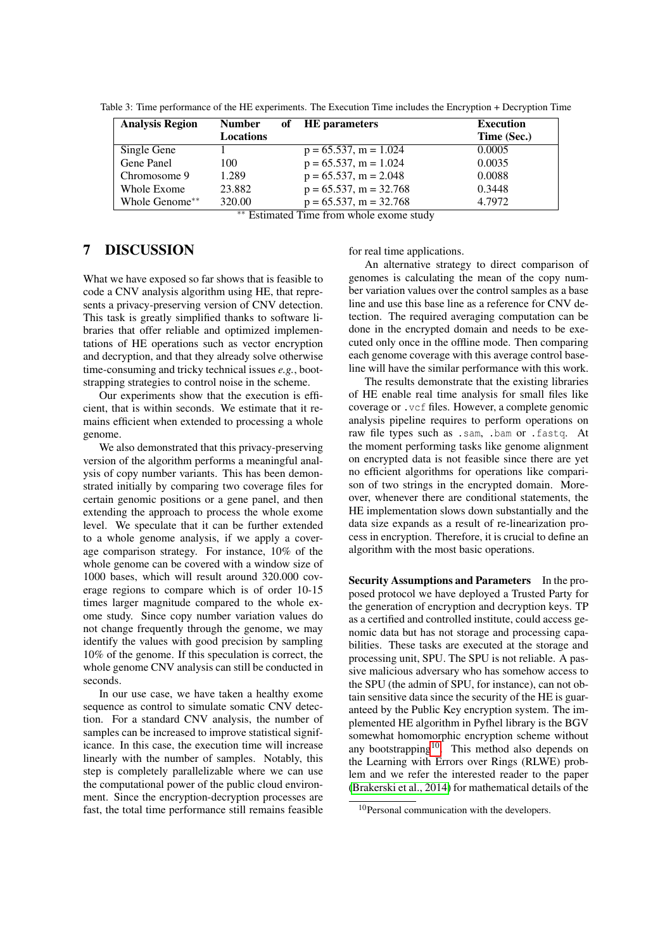| <b>Analysis Region</b> | <b>Number</b>      |                      | of HE parameters          | <b>Execution</b> |
|------------------------|--------------------|----------------------|---------------------------|------------------|
|                        | Locations          |                      |                           | Time (Sec.)      |
| Single Gene            |                    |                      | $p = 65.537$ , m = 1.024  | 0.0005           |
| Gene Panel             | 100                |                      | $p = 65.537$ , m = 1.024  | 0.0035           |
| Chromosome 9           | 1.289              |                      | $p = 65.537$ , m = 2.048  | 0.0088           |
| Whole Exome            | 23.882             |                      | $p = 65.537$ , m = 32.768 | 0.3448           |
| Whole Genome**         | 320.00<br>$\cdots$ | $\sim$ $\sim$ $\sim$ | $p = 65.537$ , m = 32.768 | 4.7972           |

<span id="page-8-0"></span>Table 3: Time performance of the HE experiments. The Execution Time includes the Encryption + Decryption Time

∗∗ Estimated Time from whole exome study

## 7 DISCUSSION

What we have exposed so far shows that is feasible to code a CNV analysis algorithm using HE, that represents a privacy-preserving version of CNV detection. This task is greatly simplified thanks to software libraries that offer reliable and optimized implementations of HE operations such as vector encryption and decryption, and that they already solve otherwise time-consuming and tricky technical issues *e.g.*, bootstrapping strategies to control noise in the scheme.

Our experiments show that the execution is efficient, that is within seconds. We estimate that it remains efficient when extended to processing a whole genome.

We also demonstrated that this privacy-preserving version of the algorithm performs a meaningful analysis of copy number variants. This has been demonstrated initially by comparing two coverage files for certain genomic positions or a gene panel, and then extending the approach to process the whole exome level. We speculate that it can be further extended to a whole genome analysis, if we apply a coverage comparison strategy. For instance, 10% of the whole genome can be covered with a window size of 1000 bases, which will result around 320.000 coverage regions to compare which is of order 10-15 times larger magnitude compared to the whole exome study. Since copy number variation values do not change frequently through the genome, we may identify the values with good precision by sampling 10% of the genome. If this speculation is correct, the whole genome CNV analysis can still be conducted in seconds.

In our use case, we have taken a healthy exome sequence as control to simulate somatic CNV detection. For a standard CNV analysis, the number of samples can be increased to improve statistical significance. In this case, the execution time will increase linearly with the number of samples. Notably, this step is completely parallelizable where we can use the computational power of the public cloud environment. Since the encryption-decryption processes are fast, the total time performance still remains feasible

for real time applications.

An alternative strategy to direct comparison of genomes is calculating the mean of the copy number variation values over the control samples as a base line and use this base line as a reference for CNV detection. The required averaging computation can be done in the encrypted domain and needs to be executed only once in the offline mode. Then comparing each genome coverage with this average control baseline will have the similar performance with this work.

The results demonstrate that the existing libraries of HE enable real time analysis for small files like coverage or .vcf files. However, a complete genomic analysis pipeline requires to perform operations on raw file types such as .sam, .bam or .fastq. At the moment performing tasks like genome alignment on encrypted data is not feasible since there are yet no efficient algorithms for operations like comparison of two strings in the encrypted domain. Moreover, whenever there are conditional statements, the HE implementation slows down substantially and the data size expands as a result of re-linearization process in encryption. Therefore, it is crucial to define an algorithm with the most basic operations.

Security Assumptions and Parameters In the proposed protocol we have deployed a Trusted Party for the generation of encryption and decryption keys. TP as a certified and controlled institute, could access genomic data but has not storage and processing capabilities. These tasks are executed at the storage and processing unit, SPU. The SPU is not reliable. A passive malicious adversary who has somehow access to the SPU (the admin of SPU, for instance), can not obtain sensitive data since the security of the HE is guaranteed by the Public Key encryption system. The implemented HE algorithm in Pyfhel library is the BGV somewhat homomorphic encryption scheme without any bootstrapping $10$ . This method also depends on the Learning with Errors over Rings (RLWE) problem and we refer the interested reader to the paper [\(Brakerski et al., 2014\)](#page-10-25) for mathematical details of the

<span id="page-8-1"></span><sup>&</sup>lt;sup>10</sup>Personal communication with the developers.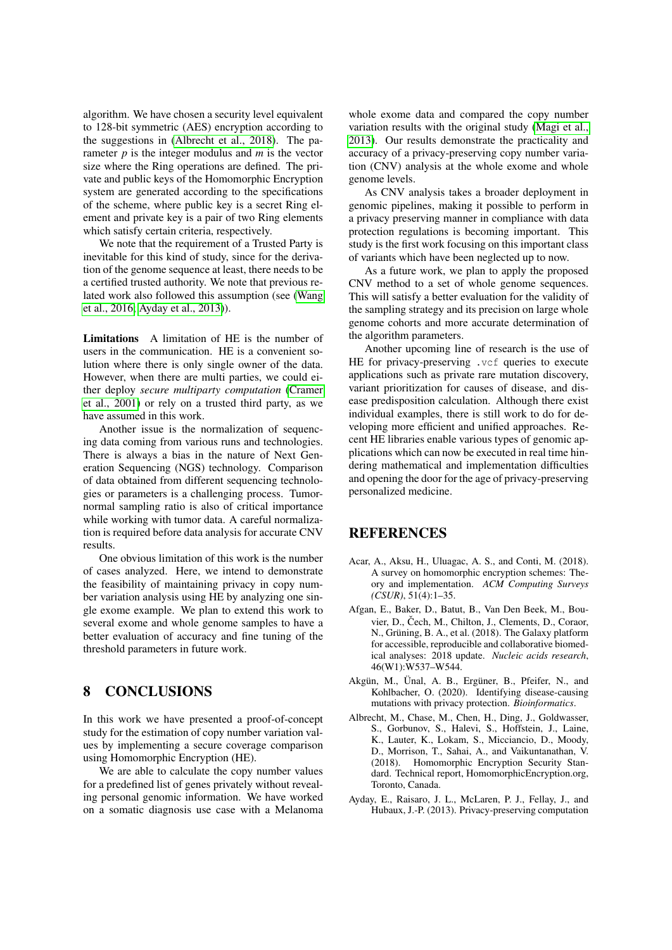algorithm. We have chosen a security level equivalent to 128-bit symmetric (AES) encryption according to the suggestions in [\(Albrecht et al., 2018\)](#page-9-3). The parameter *p* is the integer modulus and *m* is the vector size where the Ring operations are defined. The private and public keys of the Homomorphic Encryption system are generated according to the specifications of the scheme, where public key is a secret Ring element and private key is a pair of two Ring elements which satisfy certain criteria, respectively.

We note that the requirement of a Trusted Party is inevitable for this kind of study, since for the derivation of the genome sequence at least, there needs to be a certified trusted authority. We note that previous related work also followed this assumption (see [\(Wang](#page-10-19) [et al., 2016;](#page-10-19) [Ayday et al., 2013\)](#page-9-4)).

Limitations A limitation of HE is the number of users in the communication. HE is a convenient solution where there is only single owner of the data. However, when there are multi parties, we could either deploy *secure multiparty computation* [\(Cramer](#page-10-26) [et al., 2001\)](#page-10-26) or rely on a trusted third party, as we have assumed in this work.

Another issue is the normalization of sequencing data coming from various runs and technologies. There is always a bias in the nature of Next Generation Sequencing (NGS) technology. Comparison of data obtained from different sequencing technologies or parameters is a challenging process. Tumornormal sampling ratio is also of critical importance while working with tumor data. A careful normalization is required before data analysis for accurate CNV results.

One obvious limitation of this work is the number of cases analyzed. Here, we intend to demonstrate the feasibility of maintaining privacy in copy number variation analysis using HE by analyzing one single exome example. We plan to extend this work to several exome and whole genome samples to have a better evaluation of accuracy and fine tuning of the threshold parameters in future work.

## 8 CONCLUSIONS

In this work we have presented a proof-of-concept study for the estimation of copy number variation values by implementing a secure coverage comparison using Homomorphic Encryption (HE).

We are able to calculate the copy number values for a predefined list of genes privately without revealing personal genomic information. We have worked on a somatic diagnosis use case with a Melanoma whole exome data and compared the copy number variation results with the original study [\(Magi et al.,](#page-10-4) [2013\)](#page-10-4). Our results demonstrate the practicality and accuracy of a privacy-preserving copy number variation (CNV) analysis at the whole exome and whole genome levels.

As CNV analysis takes a broader deployment in genomic pipelines, making it possible to perform in a privacy preserving manner in compliance with data protection regulations is becoming important. This study is the first work focusing on this important class of variants which have been neglected up to now.

As a future work, we plan to apply the proposed CNV method to a set of whole genome sequences. This will satisfy a better evaluation for the validity of the sampling strategy and its precision on large whole genome cohorts and more accurate determination of the algorithm parameters.

Another upcoming line of research is the use of HE for privacy-preserving .vcf queries to execute applications such as private rare mutation discovery, variant prioritization for causes of disease, and disease predisposition calculation. Although there exist individual examples, there is still work to do for developing more efficient and unified approaches. Recent HE libraries enable various types of genomic applications which can now be executed in real time hindering mathematical and implementation difficulties and opening the door for the age of privacy-preserving personalized medicine.

### REFERENCES

- <span id="page-9-1"></span>Acar, A., Aksu, H., Uluagac, A. S., and Conti, M. (2018). A survey on homomorphic encryption schemes: Theory and implementation. *ACM Computing Surveys (CSUR)*, 51(4):1–35.
- <span id="page-9-2"></span>Afgan, E., Baker, D., Batut, B., Van Den Beek, M., Bouvier, D., Čech, M., Chilton, J., Clements, D., Coraor, N., Grüning, B. A., et al. (2018). The Galaxy platform for accessible, reproducible and collaborative biomedical analyses: 2018 update. *Nucleic acids research*, 46(W1):W537–W544.
- <span id="page-9-0"></span>Akgün, M., Ünal, A. B., Ergüner, B., Pfeifer, N., and Kohlbacher, O. (2020). Identifying disease-causing mutations with privacy protection. *Bioinformatics*.
- <span id="page-9-3"></span>Albrecht, M., Chase, M., Chen, H., Ding, J., Goldwasser, S., Gorbunov, S., Halevi, S., Hoffstein, J., Laine, K., Lauter, K., Lokam, S., Micciancio, D., Moody, D., Morrison, T., Sahai, A., and Vaikuntanathan, V. (2018). Homomorphic Encryption Security Standard. Technical report, HomomorphicEncryption.org, Toronto, Canada.
- <span id="page-9-4"></span>Ayday, E., Raisaro, J. L., McLaren, P. J., Fellay, J., and Hubaux, J.-P. (2013). Privacy-preserving computation